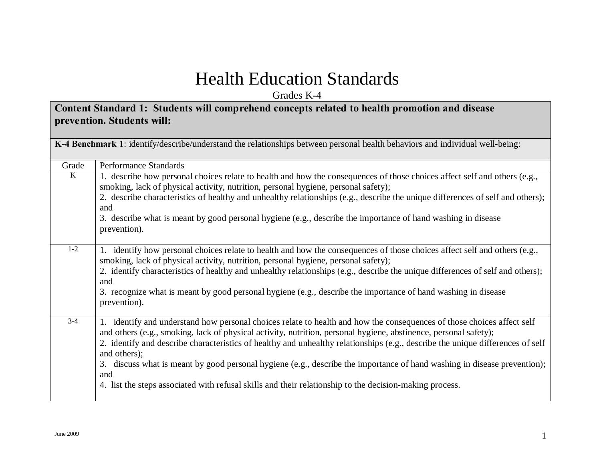## Health Education Standards

Grades K-4

#### **Content Standard 1: Students will comprehend concepts related to health promotion and disease prevention. Students will:**

|         | K-4 Benchmark 1: identify/describe/understand the relationships between personal health behaviors and individual well-being:                                                                                                                                                                                                                                                                                                                                                                                                                                                                                                               |
|---------|--------------------------------------------------------------------------------------------------------------------------------------------------------------------------------------------------------------------------------------------------------------------------------------------------------------------------------------------------------------------------------------------------------------------------------------------------------------------------------------------------------------------------------------------------------------------------------------------------------------------------------------------|
| Grade   | <b>Performance Standards</b>                                                                                                                                                                                                                                                                                                                                                                                                                                                                                                                                                                                                               |
| K       | 1. describe how personal choices relate to health and how the consequences of those choices affect self and others (e.g.,<br>smoking, lack of physical activity, nutrition, personal hygiene, personal safety);<br>2. describe characteristics of healthy and unhealthy relationships (e.g., describe the unique differences of self and others);<br>and<br>3. describe what is meant by good personal hygiene (e.g., describe the importance of hand washing in disease<br>prevention).                                                                                                                                                   |
| $1 - 2$ | 1. identify how personal choices relate to health and how the consequences of those choices affect self and others (e.g.,<br>smoking, lack of physical activity, nutrition, personal hygiene, personal safety);<br>2. identify characteristics of healthy and unhealthy relationships (e.g., describe the unique differences of self and others);<br>and<br>3. recognize what is meant by good personal hygiene (e.g., describe the importance of hand washing in disease<br>prevention).                                                                                                                                                  |
| $3 - 4$ | 1. identify and understand how personal choices relate to health and how the consequences of those choices affect self<br>and others (e.g., smoking, lack of physical activity, nutrition, personal hygiene, abstinence, personal safety);<br>2. identify and describe characteristics of healthy and unhealthy relationships (e.g., describe the unique differences of self<br>and others);<br>3. discuss what is meant by good personal hygiene (e.g., describe the importance of hand washing in disease prevention);<br>and<br>4. list the steps associated with refusal skills and their relationship to the decision-making process. |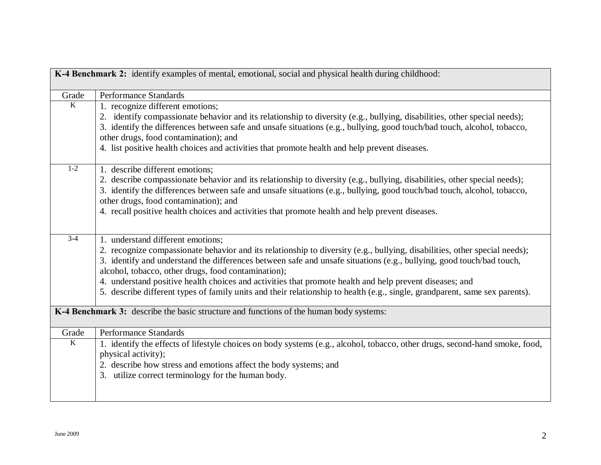| K-4 Benchmark 2: identify examples of mental, emotional, social and physical health during childhood: |                                                                                                                             |
|-------------------------------------------------------------------------------------------------------|-----------------------------------------------------------------------------------------------------------------------------|
| Grade                                                                                                 | <b>Performance Standards</b>                                                                                                |
| $\overline{K}$                                                                                        | 1. recognize different emotions;                                                                                            |
|                                                                                                       | 2. identify compassionate behavior and its relationship to diversity (e.g., bullying, disabilities, other special needs);   |
|                                                                                                       | 3. identify the differences between safe and unsafe situations (e.g., bullying, good touch/bad touch, alcohol, tobacco,     |
|                                                                                                       | other drugs, food contamination); and                                                                                       |
|                                                                                                       | 4. list positive health choices and activities that promote health and help prevent diseases.                               |
| $1 - 2$                                                                                               | 1. describe different emotions;                                                                                             |
|                                                                                                       | 2. describe compassionate behavior and its relationship to diversity (e.g., bullying, disabilities, other special needs);   |
|                                                                                                       | 3. identify the differences between safe and unsafe situations (e.g., bullying, good touch/bad touch, alcohol, tobacco,     |
|                                                                                                       | other drugs, food contamination); and                                                                                       |
|                                                                                                       | 4. recall positive health choices and activities that promote health and help prevent diseases.                             |
|                                                                                                       |                                                                                                                             |
| $3-4$                                                                                                 | 1. understand different emotions;                                                                                           |
|                                                                                                       | 2. recognize compassionate behavior and its relationship to diversity (e.g., bullying, disabilities, other special needs);  |
|                                                                                                       | 3. identify and understand the differences between safe and unsafe situations (e.g., bullying, good touch/bad touch,        |
|                                                                                                       | alcohol, tobacco, other drugs, food contamination);                                                                         |
|                                                                                                       | 4. understand positive health choices and activities that promote health and help prevent diseases; and                     |
|                                                                                                       | 5. describe different types of family units and their relationship to health (e.g., single, grandparent, same sex parents). |
|                                                                                                       | K-4 Benchmark 3: describe the basic structure and functions of the human body systems:                                      |
| Grade                                                                                                 | <b>Performance Standards</b>                                                                                                |
| $\overline{K}$                                                                                        | 1. identify the effects of lifestyle choices on body systems (e.g., alcohol, tobacco, other drugs, second-hand smoke, food, |
|                                                                                                       | physical activity);                                                                                                         |
|                                                                                                       | 2. describe how stress and emotions affect the body systems; and                                                            |
|                                                                                                       | 3. utilize correct terminology for the human body.                                                                          |
|                                                                                                       |                                                                                                                             |
|                                                                                                       |                                                                                                                             |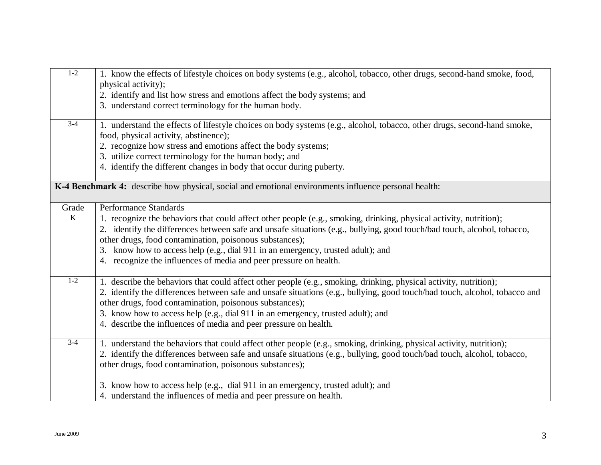| $1-2$          | 1. know the effects of lifestyle choices on body systems (e.g., alcohol, tobacco, other drugs, second-hand smoke, food,<br>physical activity); |
|----------------|------------------------------------------------------------------------------------------------------------------------------------------------|
|                | 2. identify and list how stress and emotions affect the body systems; and                                                                      |
|                | 3. understand correct terminology for the human body.                                                                                          |
| $3-4$          | 1. understand the effects of lifestyle choices on body systems (e.g., alcohol, tobacco, other drugs, second-hand smoke,                        |
|                | food, physical activity, abstinence);                                                                                                          |
|                | 2. recognize how stress and emotions affect the body systems;                                                                                  |
|                | 3. utilize correct terminology for the human body; and                                                                                         |
|                | 4. identify the different changes in body that occur during puberty.                                                                           |
|                | K-4 Benchmark 4: describe how physical, social and emotional environments influence personal health:                                           |
| Grade          | <b>Performance Standards</b>                                                                                                                   |
| $\overline{K}$ | 1. recognize the behaviors that could affect other people (e.g., smoking, drinking, physical activity, nutrition);                             |
|                | 2. identify the differences between safe and unsafe situations (e.g., bullying, good touch/bad touch, alcohol, tobacco,                        |
|                | other drugs, food contamination, poisonous substances);                                                                                        |
|                | 3. know how to access help (e.g., dial 911 in an emergency, trusted adult); and                                                                |
|                | 4. recognize the influences of media and peer pressure on health.                                                                              |
| $1 - 2$        | 1. describe the behaviors that could affect other people (e.g., smoking, drinking, physical activity, nutrition);                              |
|                | 2. identify the differences between safe and unsafe situations (e.g., bullying, good touch/bad touch, alcohol, tobacco and                     |
|                | other drugs, food contamination, poisonous substances);                                                                                        |
|                | 3. know how to access help (e.g., dial 911 in an emergency, trusted adult); and                                                                |
|                | 4. describe the influences of media and peer pressure on health.                                                                               |
| $3-4$          | 1. understand the behaviors that could affect other people (e.g., smoking, drinking, physical activity, nutrition);                            |
|                | 2. identify the differences between safe and unsafe situations (e.g., bullying, good touch/bad touch, alcohol, tobacco,                        |
|                | other drugs, food contamination, poisonous substances);                                                                                        |
|                | 3. know how to access help (e.g., dial 911 in an emergency, trusted adult); and                                                                |
|                | 4. understand the influences of media and peer pressure on health.                                                                             |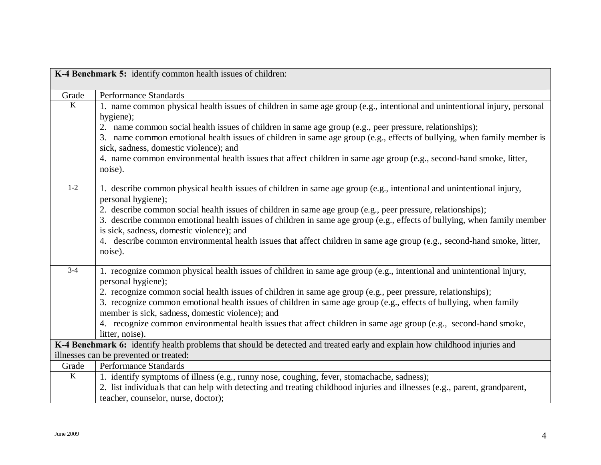| K-4 Benchmark 5: identify common health issues of children:                                                                |                                                                                                                            |
|----------------------------------------------------------------------------------------------------------------------------|----------------------------------------------------------------------------------------------------------------------------|
|                                                                                                                            |                                                                                                                            |
| Grade                                                                                                                      | Performance Standards                                                                                                      |
| $\overline{K}$                                                                                                             | 1. name common physical health issues of children in same age group (e.g., intentional and unintentional injury, personal  |
|                                                                                                                            | hygiene);                                                                                                                  |
|                                                                                                                            | 2. name common social health issues of children in same age group (e.g., peer pressure, relationships);                    |
|                                                                                                                            | 3. name common emotional health issues of children in same age group (e.g., effects of bullying, when family member is     |
|                                                                                                                            | sick, sadness, domestic violence); and                                                                                     |
|                                                                                                                            | 4. name common environmental health issues that affect children in same age group (e.g., second-hand smoke, litter,        |
|                                                                                                                            | noise).                                                                                                                    |
|                                                                                                                            |                                                                                                                            |
| $1-2$                                                                                                                      | 1. describe common physical health issues of children in same age group (e.g., intentional and unintentional injury,       |
|                                                                                                                            | personal hygiene);                                                                                                         |
|                                                                                                                            | 2. describe common social health issues of children in same age group (e.g., peer pressure, relationships);                |
|                                                                                                                            | 3. describe common emotional health issues of children in same age group (e.g., effects of bullying, when family member    |
|                                                                                                                            | is sick, sadness, domestic violence); and                                                                                  |
|                                                                                                                            | 4. describe common environmental health issues that affect children in same age group (e.g., second-hand smoke, litter,    |
|                                                                                                                            | noise).                                                                                                                    |
| $3-4$                                                                                                                      | 1. recognize common physical health issues of children in same age group (e.g., intentional and unintentional injury,      |
|                                                                                                                            | personal hygiene);                                                                                                         |
|                                                                                                                            | 2. recognize common social health issues of children in same age group (e.g., peer pressure, relationships);               |
|                                                                                                                            | 3. recognize common emotional health issues of children in same age group (e.g., effects of bullying, when family          |
|                                                                                                                            | member is sick, sadness, domestic violence); and                                                                           |
|                                                                                                                            | 4. recognize common environmental health issues that affect children in same age group (e.g., second-hand smoke,           |
|                                                                                                                            | litter, noise).                                                                                                            |
| K-4 Benchmark 6: identify health problems that should be detected and treated early and explain how childhood injuries and |                                                                                                                            |
|                                                                                                                            | illnesses can be prevented or treated:                                                                                     |
| Grade                                                                                                                      | <b>Performance Standards</b>                                                                                               |
| $\overline{K}$                                                                                                             | 1. identify symptoms of illness (e.g., runny nose, coughing, fever, stomachache, sadness);                                 |
|                                                                                                                            | 2. list individuals that can help with detecting and treating childhood injuries and illnesses (e.g., parent, grandparent, |
|                                                                                                                            | teacher, counselor, nurse, doctor);                                                                                        |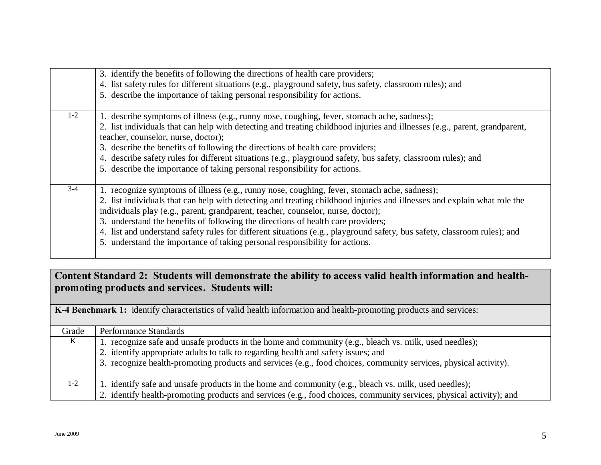|       | 3. identify the benefits of following the directions of health care providers;<br>4. list safety rules for different situations (e.g., playground safety, bus safety, classroom rules); and<br>5. describe the importance of taking personal responsibility for actions.                                                                                                                                                                                                                                                                                                                                    |
|-------|-------------------------------------------------------------------------------------------------------------------------------------------------------------------------------------------------------------------------------------------------------------------------------------------------------------------------------------------------------------------------------------------------------------------------------------------------------------------------------------------------------------------------------------------------------------------------------------------------------------|
| $1-2$ | 1. describe symptoms of illness (e.g., runny nose, coughing, fever, stomach ache, sadness);<br>2. list individuals that can help with detecting and treating childhood injuries and illnesses (e.g., parent, grandparent,<br>teacher, counselor, nurse, doctor);<br>3. describe the benefits of following the directions of health care providers;<br>4. describe safety rules for different situations (e.g., playground safety, bus safety, classroom rules); and<br>5. describe the importance of taking personal responsibility for actions.                                                            |
| $3-4$ | 1. recognize symptoms of illness (e.g., runny nose, coughing, fever, stomach ache, sadness);<br>2. list individuals that can help with detecting and treating childhood injuries and illnesses and explain what role the<br>individuals play (e.g., parent, grandparent, teacher, counselor, nurse, doctor);<br>3. understand the benefits of following the directions of health care providers;<br>4. list and understand safety rules for different situations (e.g., playground safety, bus safety, classroom rules); and<br>5. understand the importance of taking personal responsibility for actions. |

### **Content Standard 2: Students will demonstrate the ability to access valid health information and healthpromoting products and services. Students will:**

|       | <b>K-4 Benchmark 1:</b> identify characteristics of valid health information and health-promoting products and services: |
|-------|--------------------------------------------------------------------------------------------------------------------------|
| Grade | Performance Standards                                                                                                    |
| K     | 1. recognize safe and unsafe products in the home and community (e.g., bleach vs. milk, used needles);                   |
|       | 2. identify appropriate adults to talk to regarding health and safety issues; and                                        |
|       | 3. recognize health-promoting products and services (e.g., food choices, community services, physical activity).         |
| $1-2$ | 1. identify safe and unsafe products in the home and community (e.g., bleach vs. milk, used needles);                    |
|       | 2. identify health-promoting products and services (e.g., food choices, community services, physical activity); and      |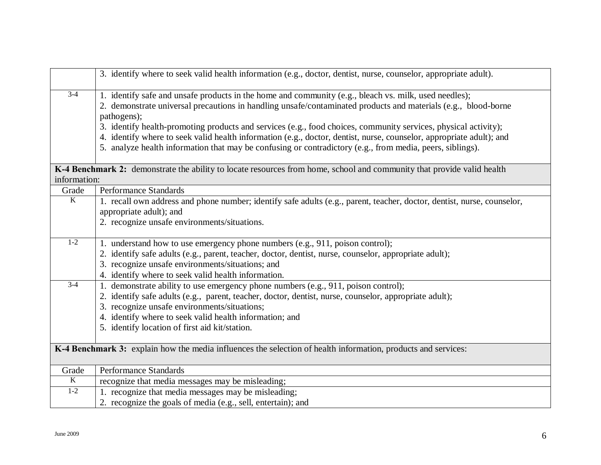|                         | 3. identify where to seek valid health information (e.g., doctor, dentist, nurse, counselor, appropriate adult).                                                                                                                                                                                                                                                                                                                                                                                                                                                                               |
|-------------------------|------------------------------------------------------------------------------------------------------------------------------------------------------------------------------------------------------------------------------------------------------------------------------------------------------------------------------------------------------------------------------------------------------------------------------------------------------------------------------------------------------------------------------------------------------------------------------------------------|
| $3-4$                   | 1. identify safe and unsafe products in the home and community (e.g., bleach vs. milk, used needles);<br>2. demonstrate universal precautions in handling unsafe/contaminated products and materials (e.g., blood-borne<br>pathogens);<br>3. identify health-promoting products and services (e.g., food choices, community services, physical activity);<br>4. identify where to seek valid health information (e.g., doctor, dentist, nurse, counselor, appropriate adult); and<br>5. analyze health information that may be confusing or contradictory (e.g., from media, peers, siblings). |
|                         | K-4 Benchmark 2: demonstrate the ability to locate resources from home, school and community that provide valid health                                                                                                                                                                                                                                                                                                                                                                                                                                                                         |
| information:            |                                                                                                                                                                                                                                                                                                                                                                                                                                                                                                                                                                                                |
| Grade                   | Performance Standards                                                                                                                                                                                                                                                                                                                                                                                                                                                                                                                                                                          |
| $\overline{K}$          | 1. recall own address and phone number; identify safe adults (e.g., parent, teacher, doctor, dentist, nurse, counselor,<br>appropriate adult); and<br>2. recognize unsafe environments/situations.                                                                                                                                                                                                                                                                                                                                                                                             |
| $1-2$                   | 1. understand how to use emergency phone numbers (e.g., 911, poison control);                                                                                                                                                                                                                                                                                                                                                                                                                                                                                                                  |
|                         | 2. identify safe adults (e.g., parent, teacher, doctor, dentist, nurse, counselor, appropriate adult);                                                                                                                                                                                                                                                                                                                                                                                                                                                                                         |
|                         | 3. recognize unsafe environments/situations; and                                                                                                                                                                                                                                                                                                                                                                                                                                                                                                                                               |
|                         | 4. identify where to seek valid health information.                                                                                                                                                                                                                                                                                                                                                                                                                                                                                                                                            |
| $3 - 4$                 | 1. demonstrate ability to use emergency phone numbers (e.g., 911, poison control);                                                                                                                                                                                                                                                                                                                                                                                                                                                                                                             |
|                         | 2. identify safe adults (e.g., parent, teacher, doctor, dentist, nurse, counselor, appropriate adult);                                                                                                                                                                                                                                                                                                                                                                                                                                                                                         |
|                         | 3. recognize unsafe environments/situations;                                                                                                                                                                                                                                                                                                                                                                                                                                                                                                                                                   |
|                         | 4. identify where to seek valid health information; and                                                                                                                                                                                                                                                                                                                                                                                                                                                                                                                                        |
|                         | 5. identify location of first aid kit/station.                                                                                                                                                                                                                                                                                                                                                                                                                                                                                                                                                 |
|                         | K-4 Benchmark 3: explain how the media influences the selection of health information, products and services:                                                                                                                                                                                                                                                                                                                                                                                                                                                                                  |
| Grade                   | Performance Standards                                                                                                                                                                                                                                                                                                                                                                                                                                                                                                                                                                          |
| $\overline{\mathbf{K}}$ | recognize that media messages may be misleading;                                                                                                                                                                                                                                                                                                                                                                                                                                                                                                                                               |
| $1-2$                   | 1. recognize that media messages may be misleading;                                                                                                                                                                                                                                                                                                                                                                                                                                                                                                                                            |
|                         | 2. recognize the goals of media (e.g., sell, entertain); and                                                                                                                                                                                                                                                                                                                                                                                                                                                                                                                                   |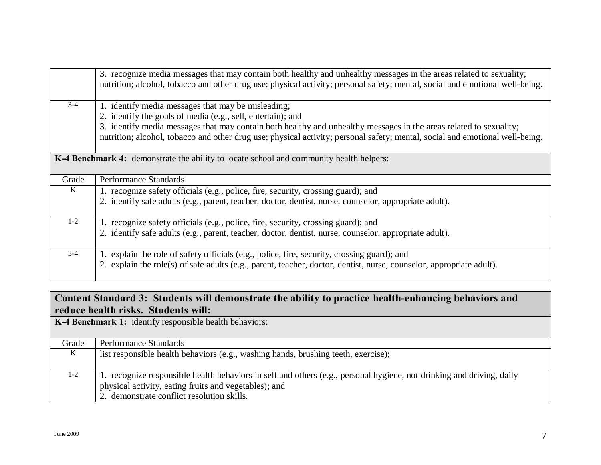|         | 3. recognize media messages that may contain both healthy and unhealthy messages in the areas related to sexuality;<br>nutrition; alcohol, tobacco and other drug use; physical activity; personal safety; mental, social and emotional well-being. |
|---------|-----------------------------------------------------------------------------------------------------------------------------------------------------------------------------------------------------------------------------------------------------|
| $3 - 4$ | 1. identify media messages that may be misleading;                                                                                                                                                                                                  |
|         | 2. identify the goals of media (e.g., sell, entertain); and                                                                                                                                                                                         |
|         | 3. identify media messages that may contain both healthy and unhealthy messages in the areas related to sexuality;                                                                                                                                  |
|         | nutrition; alcohol, tobacco and other drug use; physical activity; personal safety; mental, social and emotional well-being.                                                                                                                        |
|         |                                                                                                                                                                                                                                                     |
|         | <b>K-4 Benchmark 4:</b> demonstrate the ability to locate school and community health helpers:                                                                                                                                                      |
| Grade   | Performance Standards                                                                                                                                                                                                                               |
| $\bf K$ | 1. recognize safety officials (e.g., police, fire, security, crossing guard); and                                                                                                                                                                   |
|         | 2. identify safe adults (e.g., parent, teacher, doctor, dentist, nurse, counselor, appropriate adult).                                                                                                                                              |
|         |                                                                                                                                                                                                                                                     |
| $1 - 2$ | 1. recognize safety officials (e.g., police, fire, security, crossing guard); and                                                                                                                                                                   |
|         | 2. identify safe adults (e.g., parent, teacher, doctor, dentist, nurse, counselor, appropriate adult).                                                                                                                                              |
|         |                                                                                                                                                                                                                                                     |
| $3 - 4$ | 1. explain the role of safety officials (e.g., police, fire, security, crossing guard); and                                                                                                                                                         |
|         | 2. explain the role(s) of safe adults (e.g., parent, teacher, doctor, dentist, nurse, counselor, appropriate adult).                                                                                                                                |

### **Content Standard 3: Students will demonstrate the ability to practice health-enhancing behaviors and reduce health risks. Students will:**

**K-4 Benchmark 1:** identify responsible health behaviors:

| Grade | Performance Standards                                                                                                                                                                                                        |
|-------|------------------------------------------------------------------------------------------------------------------------------------------------------------------------------------------------------------------------------|
| K     | list responsible health behaviors (e.g., washing hands, brushing teeth, exercise);                                                                                                                                           |
| $1-2$ | 1. recognize responsible health behaviors in self and others (e.g., personal hygiene, not drinking and driving, daily<br>physical activity, eating fruits and vegetables); and<br>2. demonstrate conflict resolution skills. |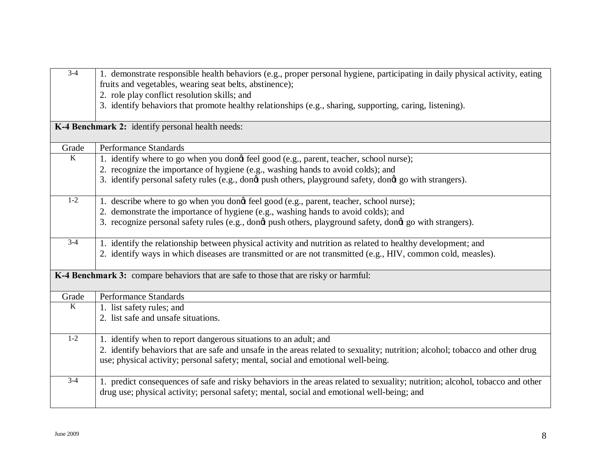| $3-4$          | 1. demonstrate responsible health behaviors (e.g., proper personal hygiene, participating in daily physical activity, eating<br>fruits and vegetables, wearing seat belts, abstinence);<br>2. role play conflict resolution skills; and |
|----------------|-----------------------------------------------------------------------------------------------------------------------------------------------------------------------------------------------------------------------------------------|
|                | 3. identify behaviors that promote healthy relationships (e.g., sharing, supporting, caring, listening).                                                                                                                                |
|                | K-4 Benchmark 2: identify personal health needs:                                                                                                                                                                                        |
| Grade          | <b>Performance Standards</b>                                                                                                                                                                                                            |
| $\overline{K}$ | 1. identify where to go when you dongt feel good (e.g., parent, teacher, school nurse);                                                                                                                                                 |
|                | 2. recognize the importance of hygiene (e.g., washing hands to avoid colds); and                                                                                                                                                        |
|                | 3. identify personal safety rules (e.g., dong push others, playground safety, dong go with strangers).                                                                                                                                  |
| $1 - 2$        | 1. describe where to go when you dongt feel good (e.g., parent, teacher, school nurse);                                                                                                                                                 |
|                | 2. demonstrate the importance of hygiene (e.g., washing hands to avoid colds); and                                                                                                                                                      |
|                | 3. recognize personal safety rules (e.g., dong push others, playground safety, dong go with strangers).                                                                                                                                 |
| $3-4$          | 1. identify the relationship between physical activity and nutrition as related to healthy development; and                                                                                                                             |
|                | 2. identify ways in which diseases are transmitted or are not transmitted (e.g., HIV, common cold, measles).                                                                                                                            |
|                | K-4 Benchmark 3: compare behaviors that are safe to those that are risky or harmful:                                                                                                                                                    |
| Grade          | Performance Standards                                                                                                                                                                                                                   |
| $\overline{K}$ | 1. list safety rules; and                                                                                                                                                                                                               |
|                | 2. list safe and unsafe situations.                                                                                                                                                                                                     |
| $1 - 2$        | 1. identify when to report dangerous situations to an adult; and                                                                                                                                                                        |
|                | 2. identify behaviors that are safe and unsafe in the areas related to sexuality; nutrition; alcohol; tobacco and other drug                                                                                                            |
|                | use; physical activity; personal safety; mental, social and emotional well-being.                                                                                                                                                       |
| $3-4$          | 1. predict consequences of safe and risky behaviors in the areas related to sexuality; nutrition; alcohol, tobacco and other<br>drug use; physical activity; personal safety; mental, social and emotional well-being; and              |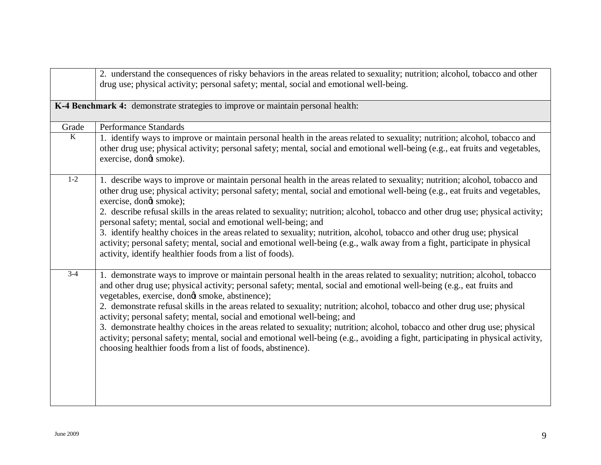|         | 2. understand the consequences of risky behaviors in the areas related to sexuality; nutrition; alcohol, tobacco and other<br>drug use; physical activity; personal safety; mental, social and emotional well-being.                                                                                                                                                                                                                                                                                                                                                                                                                                                                                                                                                                                                                          |
|---------|-----------------------------------------------------------------------------------------------------------------------------------------------------------------------------------------------------------------------------------------------------------------------------------------------------------------------------------------------------------------------------------------------------------------------------------------------------------------------------------------------------------------------------------------------------------------------------------------------------------------------------------------------------------------------------------------------------------------------------------------------------------------------------------------------------------------------------------------------|
|         | K-4 Benchmark 4: demonstrate strategies to improve or maintain personal health:                                                                                                                                                                                                                                                                                                                                                                                                                                                                                                                                                                                                                                                                                                                                                               |
| Grade   | Performance Standards                                                                                                                                                                                                                                                                                                                                                                                                                                                                                                                                                                                                                                                                                                                                                                                                                         |
| $\bf K$ | 1. identify ways to improve or maintain personal health in the areas related to sexuality; nutrition; alcohol, tobacco and<br>other drug use; physical activity; personal safety; mental, social and emotional well-being (e.g., eat fruits and vegetables,<br>exercise, dongt smoke).                                                                                                                                                                                                                                                                                                                                                                                                                                                                                                                                                        |
| $1-2$   | 1. describe ways to improve or maintain personal health in the areas related to sexuality; nutrition; alcohol, tobacco and<br>other drug use; physical activity; personal safety; mental, social and emotional well-being (e.g., eat fruits and vegetables,<br>exercise, dongt smoke);<br>2. describe refusal skills in the areas related to sexuality; nutrition; alcohol, tobacco and other drug use; physical activity;<br>personal safety; mental, social and emotional well-being; and<br>3. identify healthy choices in the areas related to sexuality; nutrition, alcohol, tobacco and other drug use; physical<br>activity; personal safety; mental, social and emotional well-being (e.g., walk away from a fight, participate in physical<br>activity, identify healthier foods from a list of foods).                              |
| $3-4$   | 1. demonstrate ways to improve or maintain personal health in the areas related to sexuality; nutrition; alcohol, tobacco<br>and other drug use; physical activity; personal safety; mental, social and emotional well-being (e.g., eat fruits and<br>vegetables, exercise, dongt smoke, abstinence);<br>2. demonstrate refusal skills in the areas related to sexuality; nutrition; alcohol, tobacco and other drug use; physical<br>activity; personal safety; mental, social and emotional well-being; and<br>3. demonstrate healthy choices in the areas related to sexuality; nutrition; alcohol, tobacco and other drug use; physical<br>activity; personal safety; mental, social and emotional well-being (e.g., avoiding a fight, participating in physical activity,<br>choosing healthier foods from a list of foods, abstinence). |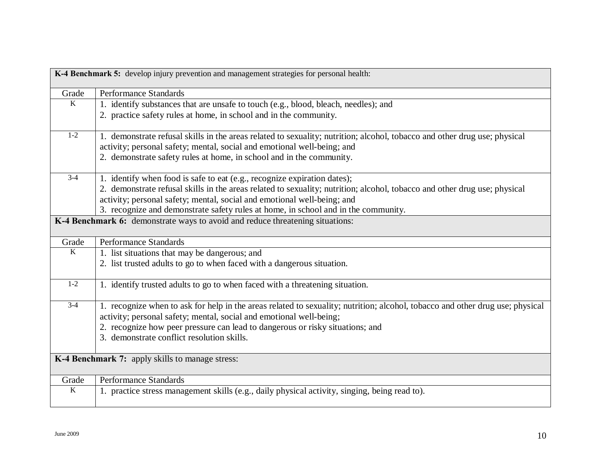| K-4 Benchmark 5: develop injury prevention and management strategies for personal health: |                                                                                                                               |
|-------------------------------------------------------------------------------------------|-------------------------------------------------------------------------------------------------------------------------------|
| Grade                                                                                     | <b>Performance Standards</b>                                                                                                  |
| $\bf K$                                                                                   | 1. identify substances that are unsafe to touch (e.g., blood, bleach, needles); and                                           |
|                                                                                           | 2. practice safety rules at home, in school and in the community.                                                             |
| $1 - 2$                                                                                   | 1. demonstrate refusal skills in the areas related to sexuality; nutrition; alcohol, tobacco and other drug use; physical     |
|                                                                                           | activity; personal safety; mental, social and emotional well-being; and                                                       |
|                                                                                           | 2. demonstrate safety rules at home, in school and in the community.                                                          |
| $3-4$                                                                                     | 1. identify when food is safe to eat (e.g., recognize expiration dates);                                                      |
|                                                                                           | 2. demonstrate refusal skills in the areas related to sexuality; nutrition; alcohol, tobacco and other drug use; physical     |
|                                                                                           | activity; personal safety; mental, social and emotional well-being; and                                                       |
|                                                                                           | 3. recognize and demonstrate safety rules at home, in school and in the community.                                            |
|                                                                                           | K-4 Benchmark 6: demonstrate ways to avoid and reduce threatening situations:                                                 |
| Grade                                                                                     | <b>Performance Standards</b>                                                                                                  |
| $\overline{K}$                                                                            | 1. list situations that may be dangerous; and                                                                                 |
|                                                                                           | 2. list trusted adults to go to when faced with a dangerous situation.                                                        |
| $1-2$                                                                                     | 1. identify trusted adults to go to when faced with a threatening situation.                                                  |
| $3-4$                                                                                     | 1. recognize when to ask for help in the areas related to sexuality; nutrition; alcohol, tobacco and other drug use; physical |
|                                                                                           | activity; personal safety; mental, social and emotional well-being;                                                           |
|                                                                                           | 2. recognize how peer pressure can lead to dangerous or risky situations; and                                                 |
|                                                                                           | 3. demonstrate conflict resolution skills.                                                                                    |
| K-4 Benchmark 7: apply skills to manage stress:                                           |                                                                                                                               |
| Grade                                                                                     | <b>Performance Standards</b>                                                                                                  |
| $\rm K$                                                                                   | 1. practice stress management skills (e.g., daily physical activity, singing, being read to).                                 |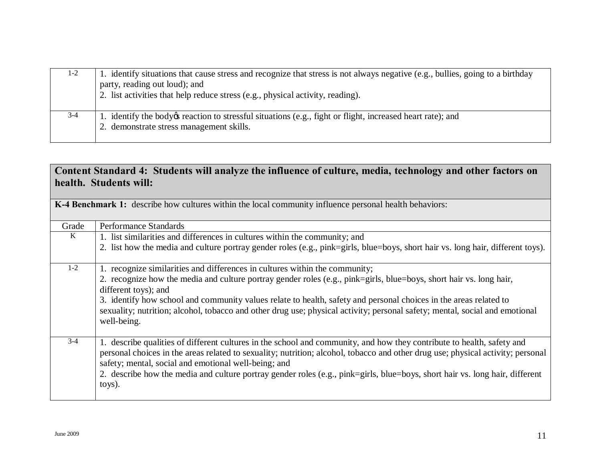| $1 - 2$ | 1. identify situations that cause stress and recognize that stress is not always negative (e.g., bullies, going to a birthday<br>party, reading out loud); and<br>2. list activities that help reduce stress (e.g., physical activity, reading). |
|---------|--------------------------------------------------------------------------------------------------------------------------------------------------------------------------------------------------------------------------------------------------|
| $3-4$   | 1. identify the body os reaction to stressful situations (e.g., fight or flight, increased heart rate); and<br>2. demonstrate stress management skills.                                                                                          |

#### **Content Standard 4: Students will analyze the influence of culture, media, technology and other factors on health. Students will:**

| <b>K-4 Benchmark 1:</b> describe how cultures within the local community influence personal health behaviors: |                                                                                                                                 |
|---------------------------------------------------------------------------------------------------------------|---------------------------------------------------------------------------------------------------------------------------------|
| Grade                                                                                                         | Performance Standards                                                                                                           |
| $\bf K$                                                                                                       | 1. list similarities and differences in cultures within the community; and                                                      |
|                                                                                                               | 2. list how the media and culture portray gender roles (e.g., pink=girls, blue=boys, short hair vs. long hair, different toys). |
| $1 - 2$                                                                                                       | 1. recognize similarities and differences in cultures within the community;                                                     |
|                                                                                                               | 2. recognize how the media and culture portray gender roles (e.g., pink=girls, blue=boys, short hair vs. long hair,             |
|                                                                                                               | different toys); and                                                                                                            |
|                                                                                                               | 3. identify how school and community values relate to health, safety and personal choices in the areas related to               |
|                                                                                                               | sexuality; nutrition; alcohol, tobacco and other drug use; physical activity; personal safety; mental, social and emotional     |
|                                                                                                               | well-being.                                                                                                                     |
|                                                                                                               |                                                                                                                                 |
| $3 - 4$                                                                                                       | 1. describe qualities of different cultures in the school and community, and how they contribute to health, safety and          |
|                                                                                                               | personal choices in the areas related to sexuality; nutrition; alcohol, tobacco and other drug use; physical activity; personal |
|                                                                                                               | safety; mental, social and emotional well-being; and                                                                            |
|                                                                                                               | 2. describe how the media and culture portray gender roles (e.g., pink=girls, blue=boys, short hair vs. long hair, different    |
|                                                                                                               | toys).                                                                                                                          |
|                                                                                                               |                                                                                                                                 |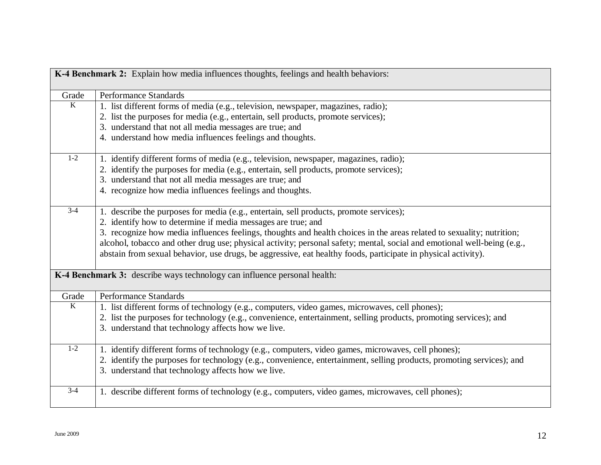| K-4 Benchmark 2: Explain how media influences thoughts, feelings and health behaviors: |                                                                                                                                                                                                                                          |
|----------------------------------------------------------------------------------------|------------------------------------------------------------------------------------------------------------------------------------------------------------------------------------------------------------------------------------------|
| Grade                                                                                  | <b>Performance Standards</b>                                                                                                                                                                                                             |
| K                                                                                      | 1. list different forms of media (e.g., television, newspaper, magazines, radio);                                                                                                                                                        |
|                                                                                        | 2. list the purposes for media (e.g., entertain, sell products, promote services);                                                                                                                                                       |
|                                                                                        | 3. understand that not all media messages are true; and                                                                                                                                                                                  |
|                                                                                        | 4. understand how media influences feelings and thoughts.                                                                                                                                                                                |
| $1-2$                                                                                  | 1. identify different forms of media (e.g., television, newspaper, magazines, radio);                                                                                                                                                    |
|                                                                                        | 2. identify the purposes for media (e.g., entertain, sell products, promote services);                                                                                                                                                   |
|                                                                                        | 3. understand that not all media messages are true; and                                                                                                                                                                                  |
|                                                                                        | 4. recognize how media influences feelings and thoughts.                                                                                                                                                                                 |
| $\overline{3} - 4$                                                                     | 1. describe the purposes for media (e.g., entertain, sell products, promote services);                                                                                                                                                   |
|                                                                                        | 2. identify how to determine if media messages are true; and                                                                                                                                                                             |
|                                                                                        | 3. recognize how media influences feelings, thoughts and health choices in the areas related to sexuality; nutrition;                                                                                                                    |
|                                                                                        | alcohol, tobacco and other drug use; physical activity; personal safety; mental, social and emotional well-being (e.g.,<br>abstain from sexual behavior, use drugs, be aggressive, eat healthy foods, participate in physical activity). |
| K-4 Benchmark 3: describe ways technology can influence personal health:               |                                                                                                                                                                                                                                          |
| Grade                                                                                  | <b>Performance Standards</b>                                                                                                                                                                                                             |
| K                                                                                      | 1. list different forms of technology (e.g., computers, video games, microwaves, cell phones);                                                                                                                                           |
|                                                                                        | 2. list the purposes for technology (e.g., convenience, entertainment, selling products, promoting services); and                                                                                                                        |
|                                                                                        | 3. understand that technology affects how we live.                                                                                                                                                                                       |
| $1-2$                                                                                  | 1. identify different forms of technology (e.g., computers, video games, microwaves, cell phones);                                                                                                                                       |
|                                                                                        | 2. identify the purposes for technology (e.g., convenience, entertainment, selling products, promoting services); and                                                                                                                    |
|                                                                                        | 3. understand that technology affects how we live.                                                                                                                                                                                       |
| $3-4$                                                                                  | 1. describe different forms of technology (e.g., computers, video games, microwaves, cell phones);                                                                                                                                       |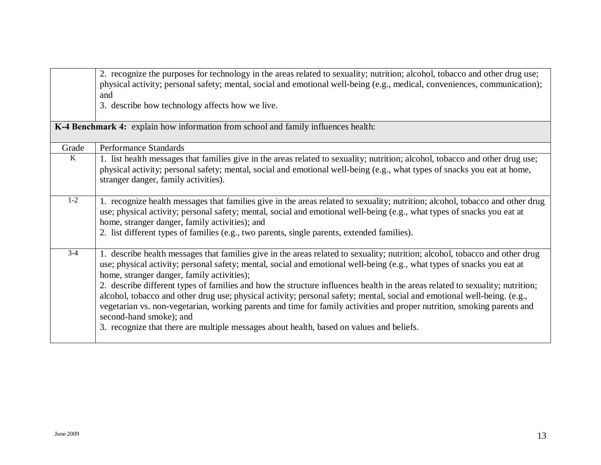|                                                                                    | 2. recognize the purposes for technology in the areas related to sexuality; nutrition; alcohol, tobacco and other drug use;<br>physical activity; personal safety; mental, social and emotional well-being (e.g., medical, conveniences, communication);<br>and<br>3. describe how technology affects how we live.                                                                                                                                                                                                                                                                                                                                                                                                                                                                                                   |
|------------------------------------------------------------------------------------|----------------------------------------------------------------------------------------------------------------------------------------------------------------------------------------------------------------------------------------------------------------------------------------------------------------------------------------------------------------------------------------------------------------------------------------------------------------------------------------------------------------------------------------------------------------------------------------------------------------------------------------------------------------------------------------------------------------------------------------------------------------------------------------------------------------------|
| K-4 Benchmark 4: explain how information from school and family influences health: |                                                                                                                                                                                                                                                                                                                                                                                                                                                                                                                                                                                                                                                                                                                                                                                                                      |
| Grade                                                                              | <b>Performance Standards</b>                                                                                                                                                                                                                                                                                                                                                                                                                                                                                                                                                                                                                                                                                                                                                                                         |
| $\bf K$                                                                            | 1. list health messages that families give in the areas related to sexuality; nutrition; alcohol, tobacco and other drug use;<br>physical activity; personal safety; mental, social and emotional well-being (e.g., what types of snacks you eat at home,<br>stranger danger, family activities).                                                                                                                                                                                                                                                                                                                                                                                                                                                                                                                    |
| $1 - 2$                                                                            | 1. recognize health messages that families give in the areas related to sexuality; nutrition; alcohol, tobacco and other drug<br>use; physical activity; personal safety; mental, social and emotional well-being (e.g., what types of snacks you eat at<br>home, stranger danger, family activities); and<br>2. list different types of families (e.g., two parents, single parents, extended families).                                                                                                                                                                                                                                                                                                                                                                                                            |
| $3 - 4$                                                                            | 1. describe health messages that families give in the areas related to sexuality; nutrition; alcohol, tobacco and other drug<br>use; physical activity; personal safety; mental, social and emotional well-being (e.g., what types of snacks you eat at<br>home, stranger danger, family activities);<br>2. describe different types of families and how the structure influences health in the areas related to sexuality; nutrition;<br>alcohol, tobacco and other drug use; physical activity; personal safety; mental, social and emotional well-being. (e.g.,<br>vegetarian vs. non-vegetarian, working parents and time for family activities and proper nutrition, smoking parents and<br>second-hand smoke); and<br>3. recognize that there are multiple messages about health, based on values and beliefs. |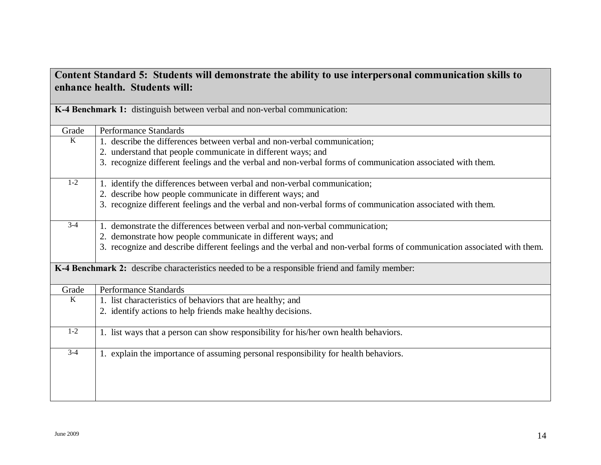| anaal a of "Diaachts" whi achibitisti ale the abhity to ase mitch personal community<br>enhance health. Students will: |                                                                                                                         |
|------------------------------------------------------------------------------------------------------------------------|-------------------------------------------------------------------------------------------------------------------------|
|                                                                                                                        | K-4 Benchmark 1: distinguish between verbal and non-verbal communication:                                               |
| Grade                                                                                                                  | <b>Performance Standards</b>                                                                                            |
| K                                                                                                                      | 1. describe the differences between verbal and non-verbal communication;                                                |
|                                                                                                                        | 2. understand that people communicate in different ways; and                                                            |
|                                                                                                                        | 3. recognize different feelings and the verbal and non-verbal forms of communication associated with them.              |
| $1 - 2$                                                                                                                | 1. identify the differences between verbal and non-verbal communication;                                                |
|                                                                                                                        | 2. describe how people communicate in different ways; and                                                               |
|                                                                                                                        | 3. recognize different feelings and the verbal and non-verbal forms of communication associated with them.              |
| $3-4$                                                                                                                  | 1. demonstrate the differences between verbal and non-verbal communication;                                             |
|                                                                                                                        | 2. demonstrate how people communicate in different ways; and                                                            |
|                                                                                                                        | 3. recognize and describe different feelings and the verbal and non-verbal forms of communication associated with them. |
|                                                                                                                        | K-4 Benchmark 2: describe characteristics needed to be a responsible friend and family member:                          |
| Grade                                                                                                                  | Performance Standards                                                                                                   |
| $\overline{K}$                                                                                                         | 1. list characteristics of behaviors that are healthy; and                                                              |
|                                                                                                                        | 2. identify actions to help friends make healthy decisions.                                                             |
| $1-2$                                                                                                                  | 1. list ways that a person can show responsibility for his/her own health behaviors.                                    |
| $3-4$                                                                                                                  | 1. explain the importance of assuming personal responsibility for health behaviors.                                     |
|                                                                                                                        |                                                                                                                         |

# **Content Standard 5: Students will demonstrate the ability to use interpersonal communication skills to**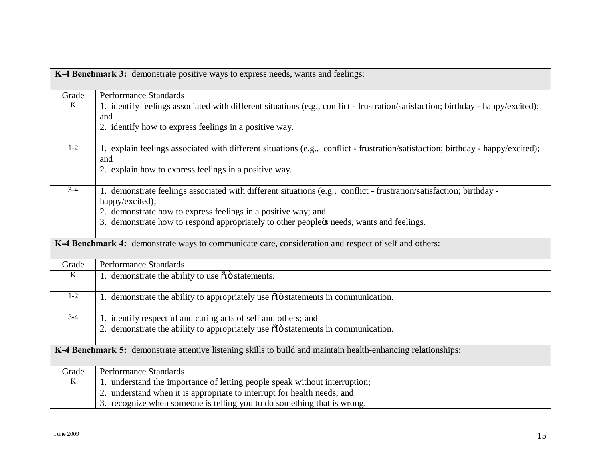| K-4 Benchmark 3: demonstrate positive ways to express needs, wants and feelings: |                                                                                                                                        |
|----------------------------------------------------------------------------------|----------------------------------------------------------------------------------------------------------------------------------------|
| Grade                                                                            | Performance Standards                                                                                                                  |
| K                                                                                | 1. identify feelings associated with different situations (e.g., conflict - frustration/satisfaction; birthday - happy/excited);       |
|                                                                                  | and                                                                                                                                    |
|                                                                                  | 2. identify how to express feelings in a positive way.                                                                                 |
| $1-2$                                                                            | 1. explain feelings associated with different situations (e.g., conflict - frustration/satisfaction; birthday - happy/excited);<br>and |
|                                                                                  | 2. explain how to express feelings in a positive way.                                                                                  |
| $3-4$                                                                            | 1. demonstrate feelings associated with different situations (e.g., conflict - frustration/satisfaction; birthday -<br>happy/excited); |
|                                                                                  | 2. demonstrate how to express feelings in a positive way; and                                                                          |
|                                                                                  | 3. demonstrate how to respond appropriately to other peopleøs needs, wants and feelings.                                               |
|                                                                                  | K-4 Benchmark 4: demonstrate ways to communicate care, consideration and respect of self and others:                                   |
| Grade                                                                            | <b>Performance Standards</b>                                                                                                           |
| $\overline{K}$                                                                   | 1. demonstrate the ability to use olo statements.                                                                                      |
| $1-2$                                                                            | 1. demonstrate the ability to appropriately use olo statements in communication.                                                       |
| $3-4$                                                                            | 1. identify respectful and caring acts of self and others; and                                                                         |
|                                                                                  | 2. demonstrate the ability to appropriately use $\delta$ is statements in communication.                                               |
|                                                                                  | K-4 Benchmark 5: demonstrate attentive listening skills to build and maintain health-enhancing relationships:                          |
| Grade                                                                            | Performance Standards                                                                                                                  |
| $\overline{K}$                                                                   | 1. understand the importance of letting people speak without interruption;                                                             |
|                                                                                  | 2. understand when it is appropriate to interrupt for health needs; and                                                                |
|                                                                                  | 3. recognize when someone is telling you to do something that is wrong.                                                                |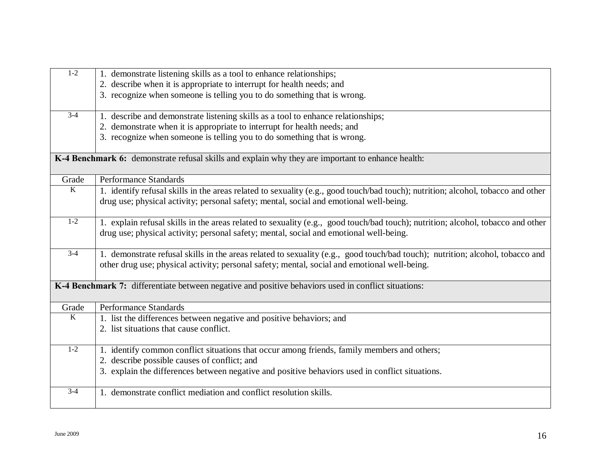| $1 - 2$        | 1. demonstrate listening skills as a tool to enhance relationships;                                                              |
|----------------|----------------------------------------------------------------------------------------------------------------------------------|
|                | 2. describe when it is appropriate to interrupt for health needs; and                                                            |
|                | 3. recognize when someone is telling you to do something that is wrong.                                                          |
|                |                                                                                                                                  |
| $3-4$          | 1. describe and demonstrate listening skills as a tool to enhance relationships;                                                 |
|                | 2. demonstrate when it is appropriate to interrupt for health needs; and                                                         |
|                | 3. recognize when someone is telling you to do something that is wrong.                                                          |
|                |                                                                                                                                  |
|                | K-4 Benchmark 6: demonstrate refusal skills and explain why they are important to enhance health:                                |
|                |                                                                                                                                  |
| Grade          | Performance Standards                                                                                                            |
| $\overline{K}$ | 1. identify refusal skills in the areas related to sexuality (e.g., good touch/bad touch); nutrition; alcohol, tobacco and other |
|                | drug use; physical activity; personal safety; mental, social and emotional well-being.                                           |
|                |                                                                                                                                  |
| $1-2$          | 1. explain refusal skills in the areas related to sexuality (e.g., good touch/bad touch); nutrition; alcohol, tobacco and other  |
|                | drug use; physical activity; personal safety; mental, social and emotional well-being.                                           |
|                |                                                                                                                                  |
| $3-4$          | 1. demonstrate refusal skills in the areas related to sexuality (e.g., good touch/bad touch); nutrition; alcohol, tobacco and    |
|                | other drug use; physical activity; personal safety; mental, social and emotional well-being.                                     |
|                |                                                                                                                                  |
|                | K-4 Benchmark 7: differentiate between negative and positive behaviors used in conflict situations:                              |
|                |                                                                                                                                  |
| Grade          | Performance Standards                                                                                                            |
| K              | 1. list the differences between negative and positive behaviors; and                                                             |
|                | 2. list situations that cause conflict.                                                                                          |
|                |                                                                                                                                  |
| $1-2$          | 1. identify common conflict situations that occur among friends, family members and others;                                      |
|                | 2. describe possible causes of conflict; and                                                                                     |
|                | 3. explain the differences between negative and positive behaviors used in conflict situations.                                  |
|                |                                                                                                                                  |
| $3-4$          | 1. demonstrate conflict mediation and conflict resolution skills.                                                                |
|                |                                                                                                                                  |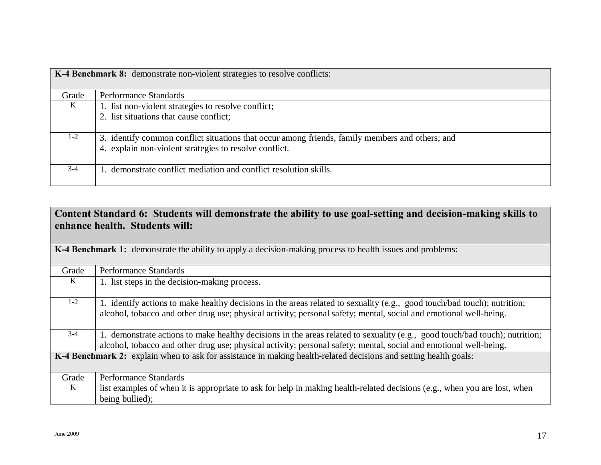| K-4 Benchmark 8: demonstrate non-violent strategies to resolve conflicts: |                                                                                                                                                           |
|---------------------------------------------------------------------------|-----------------------------------------------------------------------------------------------------------------------------------------------------------|
| Grade                                                                     | Performance Standards                                                                                                                                     |
| K                                                                         | 1. list non-violent strategies to resolve conflict;                                                                                                       |
|                                                                           | 2. list situations that cause conflict;                                                                                                                   |
| $1 - 2$                                                                   | 3. identify common conflict situations that occur among friends, family members and others; and<br>4. explain non-violent strategies to resolve conflict. |
| $3 - 4$                                                                   | 1. demonstrate conflict mediation and conflict resolution skills.                                                                                         |

| Content Standard 6: Students will demonstrate the ability to use goal-setting and decision-making skills to |
|-------------------------------------------------------------------------------------------------------------|
| enhance health. Students will:                                                                              |

| Grade                                                                                                            | Performance Standards                                                                                                       |
|------------------------------------------------------------------------------------------------------------------|-----------------------------------------------------------------------------------------------------------------------------|
| K                                                                                                                | 1. list steps in the decision-making process.                                                                               |
|                                                                                                                  |                                                                                                                             |
| $1-2$                                                                                                            | 1. identify actions to make healthy decisions in the areas related to sexuality (e.g., good touch/bad touch); nutrition;    |
|                                                                                                                  | alcohol, tobacco and other drug use; physical activity; personal safety; mental, social and emotional well-being.           |
|                                                                                                                  |                                                                                                                             |
| $3-4$                                                                                                            | 1. demonstrate actions to make healthy decisions in the areas related to sexuality (e.g., good touch/bad touch); nutrition; |
|                                                                                                                  | alcohol, tobacco and other drug use; physical activity; personal safety; mental, social and emotional well-being.           |
| K-4 Benchmark 2: explain when to ask for assistance in making health-related decisions and setting health goals: |                                                                                                                             |
|                                                                                                                  |                                                                                                                             |
| Grade                                                                                                            | <b>Performance Standards</b>                                                                                                |
| K                                                                                                                | list examples of when it is appropriate to ask for help in making health-related decisions (e.g., when you are lost, when   |
|                                                                                                                  | being bullied);                                                                                                             |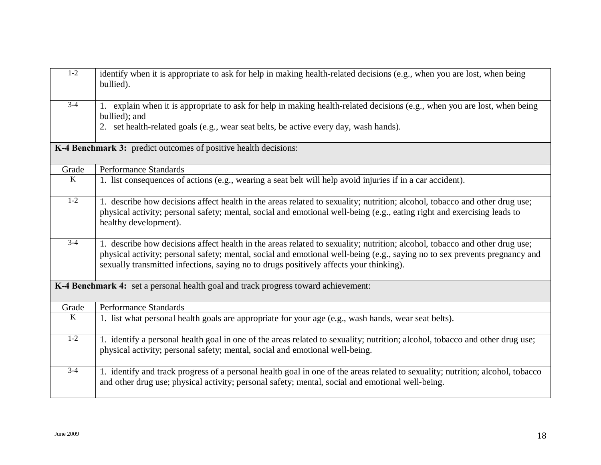| $1-2$          | identify when it is appropriate to ask for help in making health-related decisions (e.g., when you are lost, when being<br>bullied).                                                                                                                                                                                                               |
|----------------|----------------------------------------------------------------------------------------------------------------------------------------------------------------------------------------------------------------------------------------------------------------------------------------------------------------------------------------------------|
| $3-4$          | 1. explain when it is appropriate to ask for help in making health-related decisions (e.g., when you are lost, when being<br>bullied); and<br>2. set health-related goals (e.g., wear seat belts, be active every day, wash hands).                                                                                                                |
|                | K-4 Benchmark 3: predict outcomes of positive health decisions:                                                                                                                                                                                                                                                                                    |
| Grade          | <b>Performance Standards</b>                                                                                                                                                                                                                                                                                                                       |
| $\overline{K}$ | 1. list consequences of actions (e.g., wearing a seat belt will help avoid injuries if in a car accident).                                                                                                                                                                                                                                         |
| $1-2$          | 1. describe how decisions affect health in the areas related to sexuality; nutrition; alcohol, tobacco and other drug use;<br>physical activity; personal safety; mental, social and emotional well-being (e.g., eating right and exercising leads to<br>healthy development).                                                                     |
| $3-4$          | 1. describe how decisions affect health in the areas related to sexuality; nutrition; alcohol, tobacco and other drug use;<br>physical activity; personal safety; mental, social and emotional well-being (e.g., saying no to sex prevents pregnancy and<br>sexually transmitted infections, saying no to drugs positively affects your thinking). |
|                | K-4 Benchmark 4: set a personal health goal and track progress toward achievement:                                                                                                                                                                                                                                                                 |
| Grade          | Performance Standards                                                                                                                                                                                                                                                                                                                              |
| $\overline{K}$ | 1. list what personal health goals are appropriate for your age (e.g., wash hands, wear seat belts).                                                                                                                                                                                                                                               |
| $1-2$          | 1. identify a personal health goal in one of the areas related to sexuality; nutrition; alcohol, tobacco and other drug use;<br>physical activity; personal safety; mental, social and emotional well-being.                                                                                                                                       |
| $3-4$          | 1. identify and track progress of a personal health goal in one of the areas related to sexuality; nutrition; alcohol, tobacco<br>and other drug use; physical activity; personal safety; mental, social and emotional well-being.                                                                                                                 |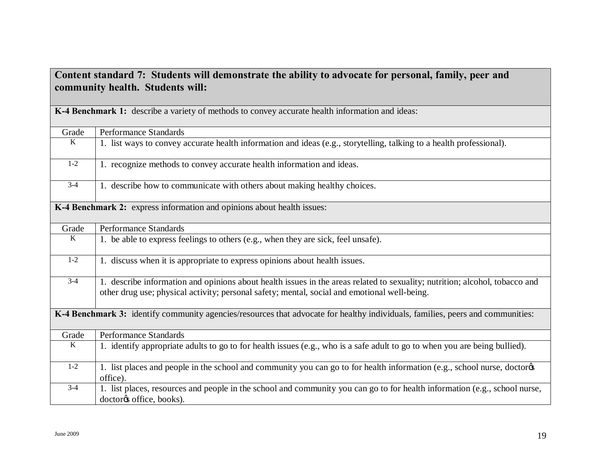| Content standard 7: Students will demonstrate the ability to advocate for personal, family, peer and<br>community health. Students will: |                                                                                                                                                                                                                             |  |
|------------------------------------------------------------------------------------------------------------------------------------------|-----------------------------------------------------------------------------------------------------------------------------------------------------------------------------------------------------------------------------|--|
| K-4 Benchmark 1: describe a variety of methods to convey accurate health information and ideas:                                          |                                                                                                                                                                                                                             |  |
| Grade                                                                                                                                    | <b>Performance Standards</b>                                                                                                                                                                                                |  |
| $\overline{K}$                                                                                                                           | 1. list ways to convey accurate health information and ideas (e.g., storytelling, talking to a health professional).                                                                                                        |  |
| $1-2$                                                                                                                                    | 1. recognize methods to convey accurate health information and ideas.                                                                                                                                                       |  |
| $3-4$                                                                                                                                    | 1. describe how to communicate with others about making healthy choices.                                                                                                                                                    |  |
| K-4 Benchmark 2: express information and opinions about health issues:                                                                   |                                                                                                                                                                                                                             |  |
| Grade                                                                                                                                    | <b>Performance Standards</b>                                                                                                                                                                                                |  |
| $\overline{K}$                                                                                                                           | 1. be able to express feelings to others (e.g., when they are sick, feel unsafe).                                                                                                                                           |  |
| $1 - 2$                                                                                                                                  | 1. discuss when it is appropriate to express opinions about health issues.                                                                                                                                                  |  |
| $3-4$                                                                                                                                    | 1. describe information and opinions about health issues in the areas related to sexuality; nutrition; alcohol, tobacco and<br>other drug use; physical activity; personal safety; mental, social and emotional well-being. |  |
| K-4 Benchmark 3: identify community agencies/resources that advocate for healthy individuals, families, peers and communities:           |                                                                                                                                                                                                                             |  |
| Grade                                                                                                                                    | <b>Performance Standards</b>                                                                                                                                                                                                |  |
| $\overline{K}$                                                                                                                           | 1. identify appropriate adults to go to for health issues (e.g., who is a safe adult to go to when you are being bullied).                                                                                                  |  |
| $1-2$                                                                                                                                    | 1. list places and people in the school and community you can go to for health information (e.g., school nurse, doctorøs<br>office).                                                                                        |  |
| $3-4$                                                                                                                                    | 1. list places, resources and people in the school and community you can go to for health information (e.g., school nurse,<br>doctorøs office, books).                                                                      |  |